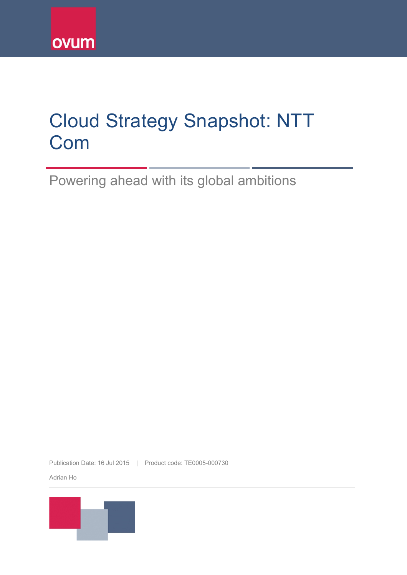

# Cloud Strategy Snapshot: NTT Com

Powering ahead with its global ambitions

Publication Date: 16 Jul 2015 | Product code: TE0005-000730

Adrian Ho

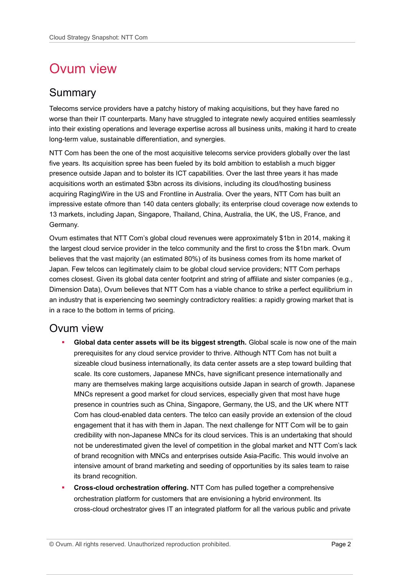## Ovum view

### Summary

Telecoms service providers have a patchy history of making acquisitions, but they have fared no worse than their IT counterparts. Many have struggled to integrate newly acquired entities seamlessly into their existing operations and leverage expertise across all business units, making it hard to create long-term value, sustainable differentiation, and synergies.

NTT Com has been the one of the most acquisitive telecoms service providers globally over the last five years. Its acquisition spree has been fueled by its bold ambition to establish a much bigger presence outside Japan and to bolster its ICT capabilities. Over the last three years it has made acquisitions worth an estimated \$3bn across its divisions, including its cloud/hosting business acquiring RagingWire in the US and Frontline in Australia. Over the years, NTT Com has built an impressive estate ofmore than 140 data centers globally; its enterprise cloud coverage now extends to 13 markets, including Japan, Singapore, Thailand, China, Australia, the UK, the US, France, and Germany.

Ovum estimates that NTT Com's global cloud revenues were approximately \$1bn in 2014, making it the largest cloud service provider in the telco community and the first to cross the \$1bn mark. Ovum believes that the vast majority (an estimated 80%) of its business comes from its home market of Japan. Few telcos can legitimately claim to be global cloud service providers; NTT Com perhaps comes closest. Given its global data center footprint and string of affiliate and sister companies (e.g., Dimension Data), Ovum believes that NTT Com has a viable chance to strike a perfect equilibrium in an industry that is experiencing two seemingly contradictory realities: a rapidly growing market that is in a race to the bottom in terms of pricing.

### Ovum view

- **Global data center assets will be its biggest strength.** Global scale is now one of the main prerequisites for any cloud service provider to thrive. Although NTT Com has not built a sizeable cloud business internationally, its data center assets are a step toward building that scale. Its core customers, Japanese MNCs, have significant presence internationally and many are themselves making large acquisitions outside Japan in search of growth. Japanese MNCs represent a good market for cloud services, especially given that most have huge presence in countries such as China, Singapore, Germany, the US, and the UK where NTT Com has cloud-enabled data centers. The telco can easily provide an extension of the cloud engagement that it has with them in Japan. The next challenge for NTT Com will be to gain credibility with non-Japanese MNCs for its cloud services. This is an undertaking that should not be underestimated given the level of competition in the global market and NTT Com's lack of brand recognition with MNCs and enterprises outside Asia-Pacific. This would involve an intensive amount of brand marketing and seeding of opportunities by its sales team to raise its brand recognition.
- **Cross-cloud orchestration offering.** NTT Com has pulled together a comprehensive orchestration platform for customers that are envisioning a hybrid environment. Its cross-cloud orchestrator gives IT an integrated platform for all the various public and private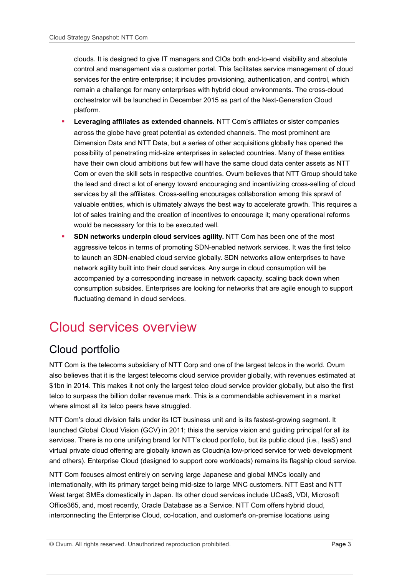clouds. It is designed to give IT managers and CIOs both end-to-end visibility and absolute control and management via a customer portal. This facilitates service management of cloud services for the entire enterprise; it includes provisioning, authentication, and control, which remain a challenge for many enterprises with hybrid cloud environments. The cross-cloud orchestrator will be launched in December 2015 as part of the Next-Generation Cloud platform.

- **Leveraging affiliates as extended channels.** NTT Com's affiliates or sister companies across the globe have great potential as extended channels. The most prominent are Dimension Data and NTT Data, but a series of other acquisitions globally has opened the possibility of penetrating mid-size enterprises in selected countries. Many of these entities have their own cloud ambitions but few will have the same cloud data center assets as NTT Com or even the skill sets in respective countries. Ovum believes that NTT Group should take the lead and direct a lot of energy toward encouraging and incentivizing cross-selling of cloud services by all the affiliates. Cross-selling encourages collaboration among this sprawl of valuable entities, which is ultimately always the best way to accelerate growth. This requires a lot of sales training and the creation of incentives to encourage it; many operational reforms would be necessary for this to be executed well.
- **SDN networks underpin cloud services agility.** NTT Com has been one of the most aggressive telcos in terms of promoting SDN-enabled network services. It was the first telco to launch an SDN-enabled cloud service globally. SDN networks allow enterprises to have network agility built into their cloud services. Any surge in cloud consumption will be accompanied by a corresponding increase in network capacity, scaling back down when consumption subsides. Enterprises are looking for networks that are agile enough to support fluctuating demand in cloud services.

## Cloud services overview

### Cloud portfolio

NTT Com is the telecoms subsidiary of NTT Corp and one of the largest telcos in the world. Ovum also believes that it is the largest telecoms cloud service provider globally, with revenues estimated at \$1bn in 2014. This makes it not only the largest telco cloud service provider globally, but also the first telco to surpass the billion dollar revenue mark. This is a commendable achievement in a market where almost all its telco peers have struggled.

NTT Com's cloud division falls under its ICT business unit and is its fastest-growing segment. It launched Global Cloud Vision (GCV) in 2011; thisis the service vision and guiding principal for all its services. There is no one unifying brand for NTT's cloud portfolio, but its public cloud (i.e., IaaS) and virtual private cloud offering are globally known as Cloudn(a low-priced service for web development and others). Enterprise Cloud (designed to support core workloads) remains its flagship cloud service.

NTT Com focuses almost entirely on serving large Japanese and global MNCs locally and internationally, with its primary target being mid-size to large MNC customers. NTT East and NTT West target SMEs domestically in Japan. Its other cloud services include UCaaS, VDI, Microsoft Office365, and, most recently, Oracle Database as a Service. NTT Com offers hybrid cloud, interconnecting the Enterprise Cloud, co-location, and customer's on-premise locations using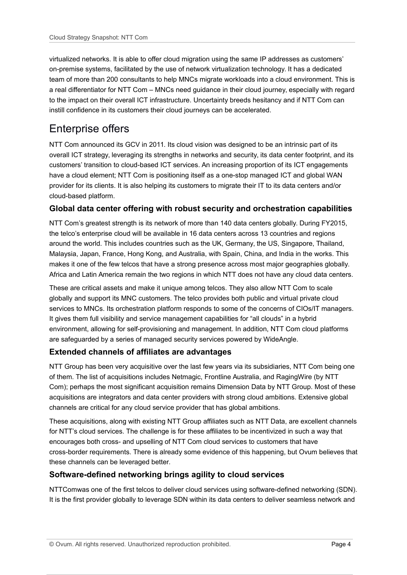virtualized networks. It is able to offer cloud migration using the same IP addresses as customers' on-premise systems, facilitated by the use of network virtualization technology. It has a dedicated team of more than 200 consultants to help MNCs migrate workloads into a cloud environment. This is a real differentiator for NTT Com – MNCs need guidance in their cloud journey, especially with regard to the impact on their overall ICT infrastructure. Uncertainty breeds hesitancy and if NTT Com can instill confidence in its customers their cloud journeys can be accelerated.

### Enterprise offers

NTT Com announced its GCV in 2011. Its cloud vision was designed to be an intrinsic part of its overall ICT strategy, leveraging its strengths in networks and security, its data center footprint, and its customers' transition to cloud-based ICT services. An increasing proportion of its ICT engagements have a cloud element; NTT Com is positioning itself as a one-stop managed ICT and global WAN provider for its clients. It is also helping its customers to migrate their IT to its data centers and/or cloud-based platform.

#### **Global data center offering with robust security and orchestration capabilities**

NTT Com's greatest strength is its network of more than 140 data centers globally. During FY2015, the telco's enterprise cloud will be available in 16 data centers across 13 countries and regions around the world. This includes countries such as the UK, Germany, the US, Singapore, Thailand, Malaysia, Japan, France, Hong Kong, and Australia, with Spain, China, and India in the works. This makes it one of the few telcos that have a strong presence across most major geographies globally. Africa and Latin America remain the two regions in which NTT does not have any cloud data centers.

These are critical assets and make it unique among telcos. They also allow NTT Com to scale globally and support its MNC customers. The telco provides both public and virtual private cloud services to MNCs. Its orchestration platform responds to some of the concerns of CIOs/IT managers. It gives them full visibility and service management capabilities for "all clouds" in a hybrid environment, allowing for self-provisioning and management. In addition, NTT Com cloud platforms are safeguarded by a series of managed security services powered by WideAngle.

#### **Extended channels of affiliates are advantages**

NTT Group has been very acquisitive over the last few years via its subsidiaries, NTT Com being one of them. The list of acquisitions includes Netmagic, Frontline Australia, and RagingWire (by NTT Com); perhaps the most significant acquisition remains Dimension Data by NTT Group. Most of these acquisitions are integrators and data center providers with strong cloud ambitions. Extensive global channels are critical for any cloud service provider that has global ambitions.

These acquisitions, along with existing NTT Group affiliates such as NTT Data, are excellent channels for NTT's cloud services. The challenge is for these affiliates to be incentivized in such a way that encourages both cross- and upselling of NTT Com cloud services to customers that have cross-border requirements. There is already some evidence of this happening, but Ovum believes that these channels can be leveraged better.

#### **Software-defined networking brings agility to cloud services**

NTTComwas one of the first telcos to deliver cloud services using software-defined networking (SDN). It is the first provider globally to leverage SDN within its data centers to deliver seamless network and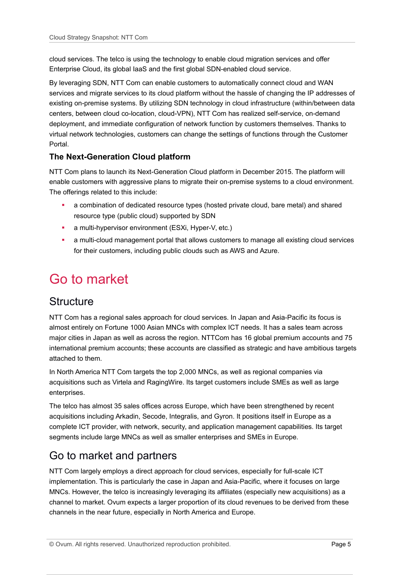cloud services. The telco is using the technology to enable cloud migration services and offer Enterprise Cloud, its global IaaS and the first global SDN-enabled cloud service.

By leveraging SDN, NTT Com can enable customers to automatically connect cloud and WAN services and migrate services to its cloud platform without the hassle of changing the IP addresses of existing on-premise systems. By utilizing SDN technology in cloud infrastructure (within/between data centers, between cloud co-location, cloud-VPN), NTT Com has realized self-service, on-demand deployment, and immediate configuration of network function by customers themselves. Thanks to virtual network technologies, customers can change the settings of functions through the Customer Portal.

#### **The Next-Generation Cloud platform**

NTT Com plans to launch its Next-Generation Cloud platform in December 2015. The platform will enable customers with aggressive plans to migrate their on-premise systems to a cloud environment. The offerings related to this include:

- a combination of dedicated resource types (hosted private cloud, bare metal) and shared resource type (public cloud) supported by SDN
- **a** multi-hypervisor environment (ESXi, Hyper-V, etc.)
- a multi-cloud management portal that allows customers to manage all existing cloud services for their customers, including public clouds such as AWS and Azure.

## Go to market

### **Structure**

NTT Com has a regional sales approach for cloud services. In Japan and Asia-Pacific its focus is almost entirely on Fortune 1000 Asian MNCs with complex ICT needs. It has a sales team across major cities in Japan as well as across the region. NTTCom has 16 global premium accounts and 75 international premium accounts; these accounts are classified as strategic and have ambitious targets attached to them.

In North America NTT Com targets the top 2,000 MNCs, as well as regional companies via acquisitions such as Virtela and RagingWire. Its target customers include SMEs as well as large enterprises.

The telco has almost 35 sales offices across Europe, which have been strengthened by recent acquisitions including Arkadin, Secode, Integralis, and Gyron. It positions itself in Europe as a complete ICT provider, with network, security, and application management capabilities. Its target segments include large MNCs as well as smaller enterprises and SMEs in Europe.

### Go to market and partners

NTT Com largely employs a direct approach for cloud services, especially for full-scale ICT implementation. This is particularly the case in Japan and Asia-Pacific, where it focuses on large MNCs. However, the telco is increasingly leveraging its affiliates (especially new acquisitions) as a channel to market. Ovum expects a larger proportion of its cloud revenues to be derived from these channels in the near future, especially in North America and Europe.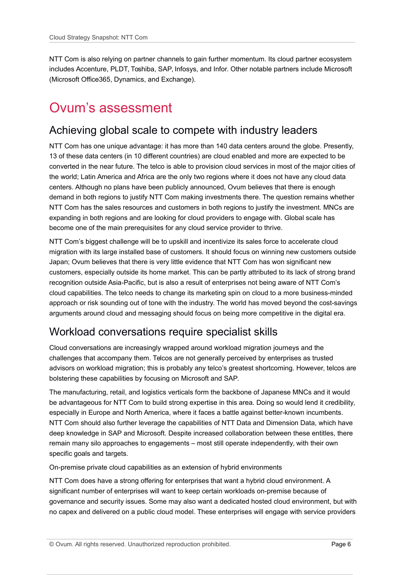NTT Com is also relying on partner channels to gain further momentum. Its cloud partner ecosystem includes Accenture, PLDT, Toshiba, SAP, Infosys, and Infor. Other notable partners include Microsoft (Microsoft Office365, Dynamics, and Exchange).

## Ovum's assessment

### Achieving global scale to compete with industry leaders

NTT Com has one unique advantage: it has more than 140 data centers around the globe. Presently, 13 of these data centers (in 10 different countries) are cloud enabled and more are expected to be converted in the near future. The telco is able to provision cloud services in most of the major cities of the world; Latin America and Africa are the only two regions where it does not have any cloud data centers. Although no plans have been publicly announced, Ovum believes that there is enough demand in both regions to justify NTT Com making investments there. The question remains whether NTT Com has the sales resources and customers in both regions to justify the investment. MNCs are expanding in both regions and are looking for cloud providers to engage with. Global scale has become one of the main prerequisites for any cloud service provider to thrive.

NTT Com's biggest challenge will be to upskill and incentivize its sales force to accelerate cloud migration with its large installed base of customers. It should focus on winning new customers outside Japan; Ovum believes that there is very little evidence that NTT Com has won significant new customers, especially outside its home market. This can be partly attributed to its lack of strong brand recognition outside Asia-Pacific, but is also a result of enterprises not being aware of NTT Com's cloud capabilities. The telco needs to change its marketing spin on cloud to a more business-minded approach or risk sounding out of tone with the industry. The world has moved beyond the cost-savings arguments around cloud and messaging should focus on being more competitive in the digital era.

### Workload conversations require specialist skills

Cloud conversations are increasingly wrapped around workload migration journeys and the challenges that accompany them. Telcos are not generally perceived by enterprises as trusted advisors on workload migration; this is probably any telco's greatest shortcoming. However, telcos are bolstering these capabilities by focusing on Microsoft and SAP.

The manufacturing, retail, and logistics verticals form the backbone of Japanese MNCs and it would be advantageous for NTT Com to build strong expertise in this area. Doing so would lend it credibility, especially in Europe and North America, where it faces a battle against better-known incumbents. NTT Com should also further leverage the capabilities of NTT Data and Dimension Data, which have deep knowledge in SAP and Microsoft. Despite increased collaboration between these entitles, there remain many silo approaches to engagements – most still operate independently, with their own specific goals and targets.

On-premise private cloud capabilities as an extension of hybrid environments

NTT Com does have a strong offering for enterprises that want a hybrid cloud environment. A significant number of enterprises will want to keep certain workloads on-premise because of governance and security issues. Some may also want a dedicated hosted cloud environment, but with no capex and delivered on a public cloud model. These enterprises will engage with service providers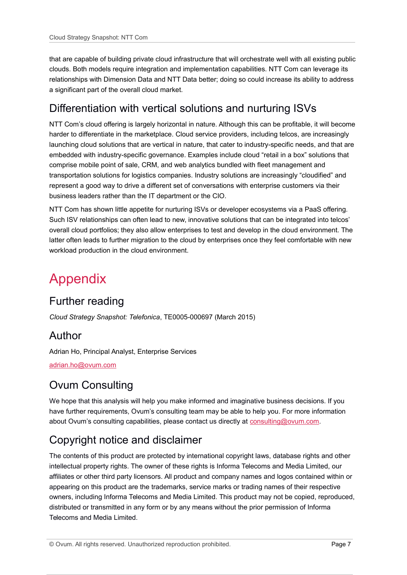that are capable of building private cloud infrastructure that will orchestrate well with all existing public clouds. Both models require integration and implementation capabilities. NTT Com can leverage its relationships with Dimension Data and NTT Data better; doing so could increase its ability to address a significant part of the overall cloud market.

### Differentiation with vertical solutions and nurturing ISVs

NTT Com's cloud offering is largely horizontal in nature. Although this can be profitable, it will become harder to differentiate in the marketplace. Cloud service providers, including telcos, are increasingly launching cloud solutions that are vertical in nature, that cater to industry-specific needs, and that are embedded with industry-specific governance. Examples include cloud "retail in a box" solutions that comprise mobile point of sale, CRM, and web analytics bundled with fleet management and transportation solutions for logistics companies. Industry solutions are increasingly "cloudified" and represent a good way to drive a different set of conversations with enterprise customers via their business leaders rather than the IT department or the CIO.

NTT Com has shown little appetite for nurturing ISVs or developer ecosystems via a PaaS offering. Such ISV relationships can often lead to new, innovative solutions that can be integrated into telcos' overall cloud portfolios; they also allow enterprises to test and develop in the cloud environment. The latter often leads to further migration to the cloud by enterprises once they feel comfortable with new workload production in the cloud environment.

## Appendix

### Further reading

*Cloud Strategy Snapshot: Telefonica*, TE0005-000697 (March 2015)

### Author

Adrian Ho, Principal Analyst, Enterprise Services

[adrian.ho@ovum.com](mailto:adrian.ho@ovum.com)

### Ovum Consulting

We hope that this analysis will help you make informed and imaginative business decisions. If you have further requirements, Ovum's consulting team may be able to help you. For more information about Ovum's consulting capabilities, please contact us directly at [consulting@ovum.com.](mailto:consulting@ovum.com)

### Copyright notice and disclaimer

The contents of this product are protected by international copyright laws, database rights and other intellectual property rights. The owner of these rights is Informa Telecoms and Media Limited, our affiliates or other third party licensors. All product and company names and logos contained within or appearing on this product are the trademarks, service marks or trading names of their respective owners, including Informa Telecoms and Media Limited. This product may not be copied, reproduced, distributed or transmitted in any form or by any means without the prior permission of Informa Telecoms and Media Limited.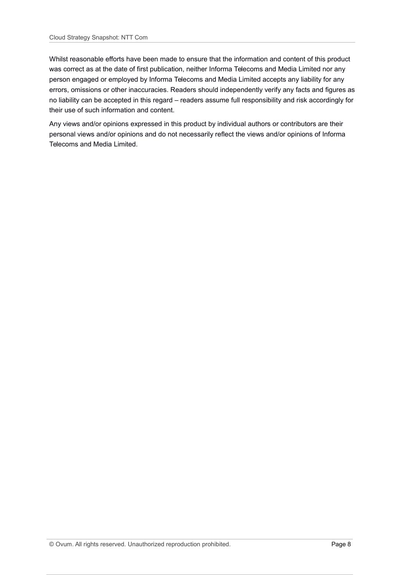Whilst reasonable efforts have been made to ensure that the information and content of this product was correct as at the date of first publication, neither Informa Telecoms and Media Limited nor any person engaged or employed by Informa Telecoms and Media Limited accepts any liability for any errors, omissions or other inaccuracies. Readers should independently verify any facts and figures as no liability can be accepted in this regard – readers assume full responsibility and risk accordingly for their use of such information and content.

Any views and/or opinions expressed in this product by individual authors or contributors are their personal views and/or opinions and do not necessarily reflect the views and/or opinions of Informa Telecoms and Media Limited.